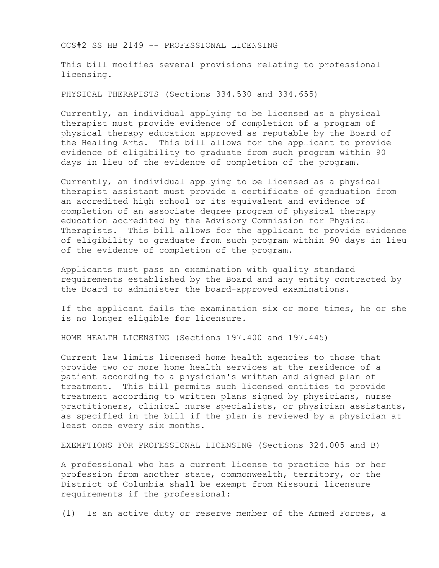CCS#2 SS HB 2149 -- PROFESSIONAL LICENSING

This bill modifies several provisions relating to professional licensing.

PHYSICAL THERAPISTS (Sections 334.530 and 334.655)

Currently, an individual applying to be licensed as a physical therapist must provide evidence of completion of a program of physical therapy education approved as reputable by the Board of the Healing Arts. This bill allows for the applicant to provide evidence of eligibility to graduate from such program within 90 days in lieu of the evidence of completion of the program.

Currently, an individual applying to be licensed as a physical therapist assistant must provide a certificate of graduation from an accredited high school or its equivalent and evidence of completion of an associate degree program of physical therapy education accredited by the Advisory Commission for Physical Therapists. This bill allows for the applicant to provide evidence of eligibility to graduate from such program within 90 days in lieu of the evidence of completion of the program.

Applicants must pass an examination with quality standard requirements established by the Board and any entity contracted by the Board to administer the board-approved examinations.

If the applicant fails the examination six or more times, he or she is no longer eligible for licensure.

HOME HEALTH LICENSING (Sections 197.400 and 197.445)

Current law limits licensed home health agencies to those that provide two or more home health services at the residence of a patient according to a physician's written and signed plan of treatment. This bill permits such licensed entities to provide treatment according to written plans signed by physicians, nurse practitioners, clinical nurse specialists, or physician assistants, as specified in the bill if the plan is reviewed by a physician at least once every six months.

EXEMPTIONS FOR PROFESSIONAL LICENSING (Sections 324.005 and B)

A professional who has a current license to practice his or her profession from another state, commonwealth, territory, or the District of Columbia shall be exempt from Missouri licensure requirements if the professional:

(1) Is an active duty or reserve member of the Armed Forces, a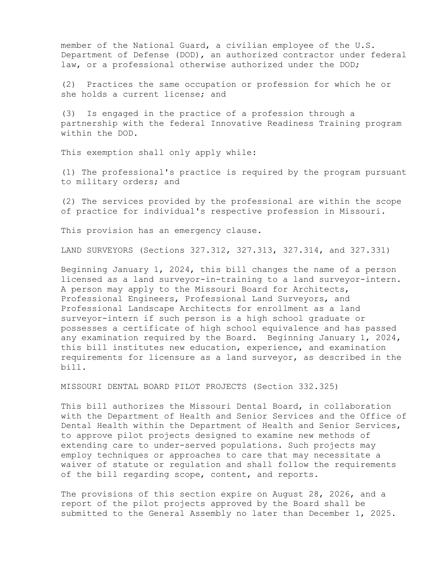member of the National Guard, a civilian employee of the U.S. Department of Defense (DOD), an authorized contractor under federal law, or a professional otherwise authorized under the DOD;

(2) Practices the same occupation or profession for which he or she holds a current license; and

(3) Is engaged in the practice of a profession through a partnership with the federal Innovative Readiness Training program within the DOD.

This exemption shall only apply while:

(1) The professional's practice is required by the program pursuant to military orders; and

(2) The services provided by the professional are within the scope of practice for individual's respective profession in Missouri.

This provision has an emergency clause.

LAND SURVEYORS (Sections 327.312, 327.313, 327.314, and 327.331)

Beginning January 1, 2024, this bill changes the name of a person licensed as a land surveyor-in-training to a land surveyor-intern. A person may apply to the Missouri Board for Architects, Professional Engineers, Professional Land Surveyors, and Professional Landscape Architects for enrollment as a land surveyor-intern if such person is a high school graduate or possesses a certificate of high school equivalence and has passed any examination required by the Board. Beginning January 1, 2024, this bill institutes new education, experience, and examination requirements for licensure as a land surveyor, as described in the bill.

MISSOURI DENTAL BOARD PILOT PROJECTS (Section 332.325)

This bill authorizes the Missouri Dental Board, in collaboration with the Department of Health and Senior Services and the Office of Dental Health within the Department of Health and Senior Services, to approve pilot projects designed to examine new methods of extending care to under-served populations. Such projects may employ techniques or approaches to care that may necessitate a waiver of statute or regulation and shall follow the requirements of the bill regarding scope, content, and reports.

The provisions of this section expire on August 28, 2026, and a report of the pilot projects approved by the Board shall be submitted to the General Assembly no later than December 1, 2025.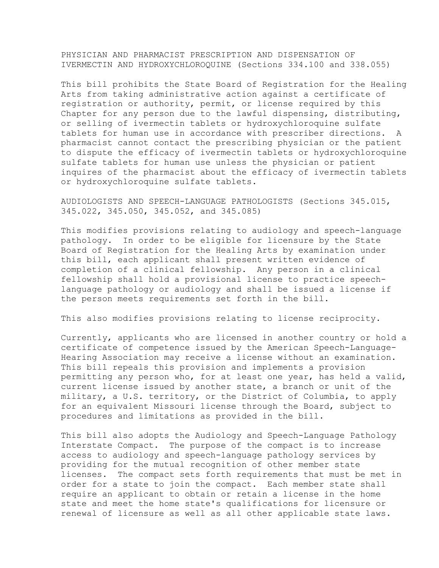PHYSICIAN AND PHARMACIST PRESCRIPTION AND DISPENSATION OF IVERMECTIN AND HYDROXYCHLOROQUINE (Sections 334.100 and 338.055)

This bill prohibits the State Board of Registration for the Healing Arts from taking administrative action against a certificate of registration or authority, permit, or license required by this Chapter for any person due to the lawful dispensing, distributing, or selling of ivermectin tablets or hydroxychloroquine sulfate tablets for human use in accordance with prescriber directions. A pharmacist cannot contact the prescribing physician or the patient to dispute the efficacy of ivermectin tablets or hydroxychloroquine sulfate tablets for human use unless the physician or patient inquires of the pharmacist about the efficacy of ivermectin tablets or hydroxychloroquine sulfate tablets.

AUDIOLOGISTS AND SPEECH-LANGUAGE PATHOLOGISTS (Sections 345.015, 345.022, 345.050, 345.052, and 345.085)

This modifies provisions relating to audiology and speech-language pathology. In order to be eligible for licensure by the State Board of Registration for the Healing Arts by examination under this bill, each applicant shall present written evidence of completion of a clinical fellowship. Any person in a clinical fellowship shall hold a provisional license to practice speechlanguage pathology or audiology and shall be issued a license if the person meets requirements set forth in the bill.

This also modifies provisions relating to license reciprocity.

Currently, applicants who are licensed in another country or hold a certificate of competence issued by the American Speech-Language-Hearing Association may receive a license without an examination. This bill repeals this provision and implements a provision permitting any person who, for at least one year, has held a valid, current license issued by another state, a branch or unit of the military, a U.S. territory, or the District of Columbia, to apply for an equivalent Missouri license through the Board, subject to procedures and limitations as provided in the bill.

This bill also adopts the Audiology and Speech-Language Pathology Interstate Compact. The purpose of the compact is to increase access to audiology and speech-language pathology services by providing for the mutual recognition of other member state licenses. The compact sets forth requirements that must be met in order for a state to join the compact. Each member state shall require an applicant to obtain or retain a license in the home state and meet the home state's qualifications for licensure or renewal of licensure as well as all other applicable state laws.